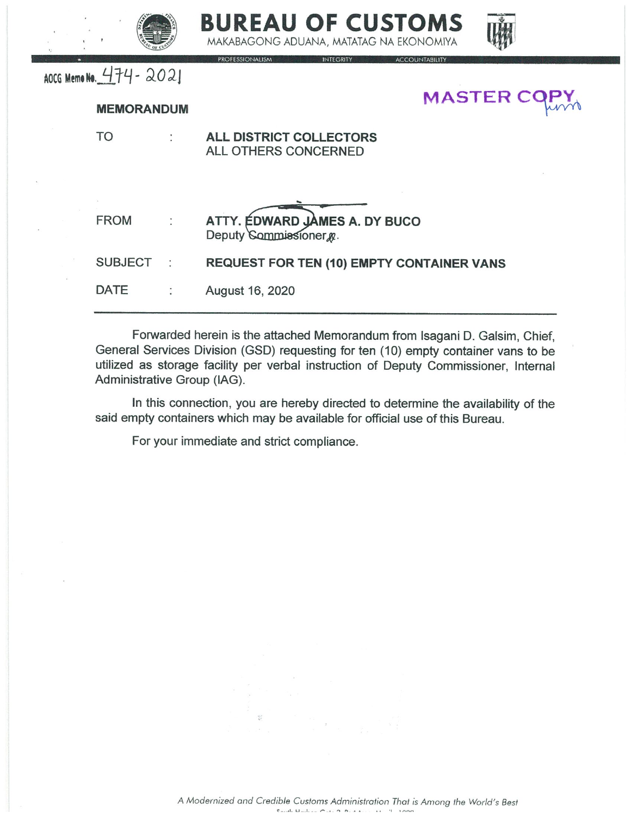



INTEGRITY ACCOUNTABILITY

AOCG Memo No. 474 - 2021

## **MEMORANDUM**

**MASTER CO** 

Forwarded herein is the attached Memorandum from Isagani D. Galsim, Chief, General Services Division (GSD) requesting for ten (10) empty container vans to be utilized as storage facility per verbal instruction of Deputy Commissioner, Internal Administrative Group (IAG).

In this connection, you are hereby directed to determine the availability of the said empty containers which may be available for official use of this Bureau.

For your immediate and strict compliance.

**PROFESSIONALISM**